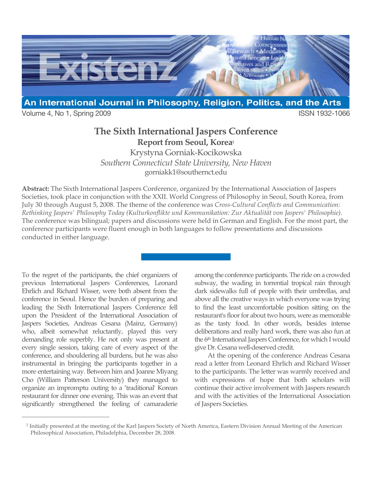

Volume 4, No 1, Spring 2009 **ISSN 1932-1066** 

## **The Sixth International Jaspers Conference Report from Seoul, Korea1**

Krystyna Gorniak-Kocikowska *Southern Connecticut State University, New Haven* gorniakk1@southernct.edu

**Abstract:** The Sixth International Jaspers Conference, organized by the International Association of Jaspers Societies, took place in conjunction with the XXII. World Congress of Philosophy in Seoul, South Korea, from July 30 through August 5, 2008. The theme of the conference was *Cross-Cultural Conflicts and Communication: Rethinking Jaspers' Philosophy Today (Kulturkonflikte und Kommunikation: Zur Aktualität von Jaspers' Philosophie).* The conference was bilingual; papers and discussions were held in German and English. For the most part, the conference participants were fluent enough in both languages to follow presentations and discussions conducted in either language.

To the regret of the participants, the chief organizers of previous International Jaspers Conferences, Leonard Ehrlich and Richard Wisser, were both absent from the conference in Seoul. Hence the burden of preparing and leading the Sixth International Jaspers Conference fell upon the President of the International Association of Jaspers Societies, Andreas Cesana (Mainz, Germany) who, albeit somewhat reluctantly, played this very demanding role superbly. He not only was present at every single session, taking care of every aspect of the conference, and shouldering all burdens, but he was also instrumental in bringing the participants together in a more entertaining way. Between him and Joanne Miyang Cho (William Patterson University) they managed to organize an impromptu outing to a 'traditional' Korean restaurant for dinner one evening. This was an event that significantly strengthened the feeling of camaraderie

 $\overline{a}$ 

among the conference participants. The ride on a crowded subway, the wading in torrential tropical rain through dark sidewalks full of people with their umbrellas, and above all the creative ways in which everyone was trying to find the least uncomfortable position sitting on the restaurant's floor for about two hours, were as memorable as the tasty food. In other words, besides intense deliberations and really hard work, there was also fun at the 6th International Jaspers Conference, for which I would give Dr. Cesana well-deserved credit.

At the opening of the conference Andreas Cesana read a letter from Leonard Ehrlich and Richard Wisser to the participants. The letter was warmly received and with expressions of hope that both scholars will continue their active involvement with Jaspers research and with the activities of the International Association of Jaspers Societies.

<sup>1</sup> Initially presented at the meeting of the Karl Jaspers Society of North America, Eastern Division Annual Meeting of the American Philosophical Association, Philadelphia, December 28, 2008.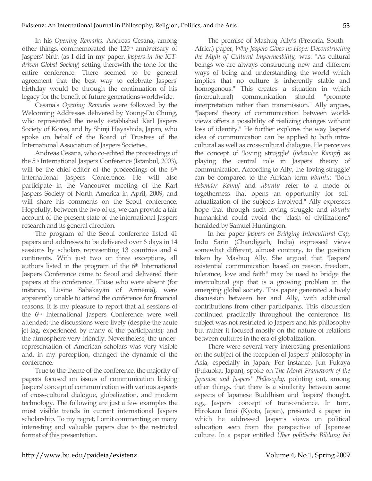In his *Opening Remarks,* Andreas Cesana, among other things, commemorated the 125<sup>th</sup> anniversary of Jaspers' birth (as I did in my paper, *Jaspers in the ICTdriven Global Society*) setting therewith the tone for the entire conference. There seemed to be general agreement that the best way to celebrate Jaspers' birthday would be through the continuation of his legacy for the benefit of future generations worldwide.

Cesana's *Opening Remarks* were followed by the Welcoming Addresses delivered by Young-Do Chung, who represented the newly established Karl Jaspers Society of Korea, and by Shinji Hayashida, Japan, who spoke on behalf of the Board of Trustees of the International Association of Jaspers Societies.

Andreas Cesana, who co-edited the proceedings of the 5<sup>th</sup> International Jaspers Conference (Istanbul, 2003), will be the chief editor of the proceedings of the 6th International Jaspers Conference. He will also participate in the Vancouver meeting of the Karl Jaspers Society of North America in April, 2009, and will share his comments on the Seoul conference. Hopefully, between the two of us, we can provide a fair account of the present state of the international Jaspers research and its general direction.

The program of the Seoul conference listed 41 papers and addresses to be delivered over 6 days in 14 sessions by scholars representing 13 countries and 4 continents. With just two or three exceptions**,** all authors listed in the program of the 6th International Jaspers Conference came to Seoul and delivered their papers at the conference. Those who were absent (for instance, Lusine Sahakayan of Armenia), were apparently unable to attend the conference for financial reasons. It is my pleasure to report that all sessions of the 6th International Jaspers Conference were well attended; the discussions were lively (despite the acute jet-lag, experienced by many of the participants); and the atmosphere very friendly. Nevertheless, the underrepresentation of American scholars was very visible and, in my perception, changed the dynamic of the conference.

True to the theme of the conference, the majority of papers focused on issues of communication linking Jaspers' concept of communication with various aspects of cross-cultural dialogue, globalization, and modern technology. The following are just a few examples the most visible trends in current international Jaspers scholarship. To my regret, I omit commenting on many interesting and valuable papers due to the restricted format of this presentation.

The premise of Mashuq Ally's (Pretoria, South Africa) paper, *Why Jaspers Gives us Hope: Deconstructing the Myth of Cultural Impermeability,* was: "As cultural beings we are always constructing new and different ways of being and understanding the world which implies that no culture is inherently stable and homogenous." This creates a situation in which (intercultural) communication should "promote interpretation rather than transmission." Ally argues, "Jaspers' theory of communication between worldviews offers a possibility of realizing changes without loss of identity." He further explores the way Jaspers' idea of communication can be applied to both intracultural as well as cross-cultural dialogue. He perceives the concept of 'loving struggle' (*liebender Kampf*) as playing the central role in Jaspers' theory of communication. According to Ally, the 'loving struggle' can be compared to the African term *ubuntu*: "Both *liebender Kampf* and *ubuntu* refer to a mode of togetherness that opens an opportunity for selfactualization of the subjects involved." Ally expresses hope that through such loving struggle and *ubuntu* humankind could avoid the "clash of civilizations" heralded by Samuel Huntington.

In her paper *Jaspers on Bridging Intercultural Gap*, Indu Sarin (Chandigarh, India) expressed views somewhat different, almost contrary, to the position taken by Mashuq Ally. She argued that "Jaspers' existential communication based on reason, freedom, tolerance, love and faith" may be used to bridge the intercultural gap that is a growing problem in the emerging global society. This paper generated a lively discussion between her and Ally, with additional contributions from other participants. This discussion continued practically throughout the conference. Its subject was not restricted to Jaspers and his philosophy but rather it focused mostly on the nature of relations between cultures in the era of globalization.

There were several very interesting presentations on the subject of the reception of Jaspers' philosophy in Asia, especially in Japan. For instance, Jun Fukaya (Fukuoka, Japan), spoke on *The Moral Framework of the Japanese and Jaspers' Philosophy*, pointing out, among other things, that there is a similarity between some aspects of Japanese Buddhism and Jaspers' thought, e.g., Jaspers' concept of transcendence. In turn, Hirokazu Imai (Kyoto, Japan), presented a paper in which he addressed Jasper's views on political education seen from the perspective of Japanese culture. In a paper entitled *Über politische Bildung bei*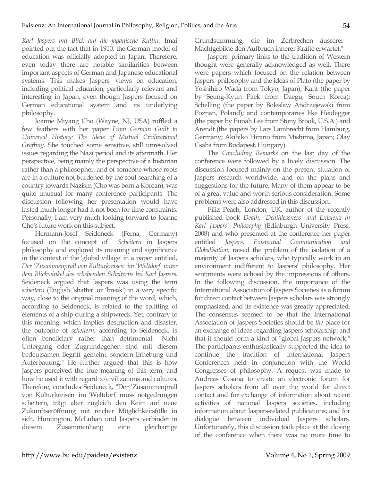*Karl Jaspers mit Blick auf die japanische Kultur,* Imai pointed out the fact that in 1910, the German model of education was officially adopted in Japan. Therefore, even today there are notable similarities between important aspects of German and Japanese educational systems. This makes Jaspers' views on education, including political education, particularly relevant and interesting in Japan, even though Jaspers focused on German educational system and its underlying philosophy.

Joanne Miyang Cho (Wayne, NJ, USA) ruffled a few feathers with her paper *From German Guilt to Universal History: The Ideas of Mutual Civilizational Grafting.* She touched some sensitive, still unresolved issues regarding the Nazi period and its aftermath. Her perspective, being mainly the perspective of a historian rather than a philosopher, and of someone whose roots are in a culture not burdened by the soul-searching of a country towards Nazism (Cho was born a Korean), was quite unusual for many conference participants. The discussion following her presentation would have lasted much longer had it not been for time constraints. Personally, I am very much looking forward to Joanne Cho's future work on this subject.

Hermann-Josef Seideneck (Ferna, Germany) focused on the concept of *Scheitern* in Jaspers philosophy and explored its meaning and significance in the context of the 'global village' in a paper entitled, *Der 'Zusammenprall von Kulturkreisen' im 'Weltdorf' unter dem Blickwinkel des erhebenden Scheiterns bei Karl Jaspers.* Seideneck argued that Jaspers was using the term *scheitern* (English 'shatter' or 'break') in a very specific way, close to the original meaning of the word, which, according to Seideneck, is related to the splitting of elements of a ship during a shipwreck. Yet, contrary to this meaning, which implies destruction and disaster, the outcome of *scheitern,* according to Seideneck, is often beneficiary rather than detrimental: "Nicht Untergang oder Zugrundegehen sind mit diesem bedeutsamen Begriff gemeint, sondern Erhebung und Auferbauung." He further argued that this is how Jaspers perceived the true meaning of this term, and how he used it with regard to civilizations and cultures. Therefore, concludes Seideneck, "Der 'Zusammenprall von Kulturkreisen' im 'Weltdorf' muss notgedrungen scheitern, trägt aber zugleich den Keim auf neue Zukunftseröffnung mit reicher Möglichkeitsfülle in sich. Huntington, McLuhan und Jaspers verbindet in diesem Zusammenhang eine gleichartige Grundstimmung, die im Zerbrechen äusserer Machtgebilde den Aufbruch innerer Kräfte erwartet."

Jaspers' primary links to the tradition of Western thought were generally acknowledged as well. There were papers which focused on the relation between Jaspers' philosophy and the ideas of Plato (the paper by Yoshihiro Wada from Tokyo, Japan); Kant (the paper by Seung-Kyun Paek from Daegu, South Korea); Schelling (the paper by Boleslaw Andrzejewski from Poznan, Poland); and contemporaries like Heidegger (the paper by Eunah Lee from Stony Brook, U.S.A.) and Arendt (the papers by Lars Lambrecht from Hamburg, Germany; Akihiko Hirano from Mishima, Japan; Olay Csaba from Budapest, Hungary).

The *Concluding Remarks* on the last day of the conference were followed by a lively discussion. The discussion focused mainly on the present situation of Jaspers research worldwide, and on the plans and suggestions for the future. Many of them appear to be of a great value and worth serious consideration. Some problems were also addressed in this discussion.

Filiz Peach, London, UK, author of the recently published book *Death, 'Deathlessness' and Existenz in Karl Jaspers' Philosophy* (Edinburgh University Press, 2008) and who presented at the conference her paper entitled *Jaspers, Existential Communication and Globalisation,* raised the problem of the isolation of a majority of Jaspers scholars, who typically work in an environment indifferent to Jaspers' philosophy. Her sentiments were echoed by the impressions of others. In the following discussion, the importance of the International Association of Jaspers Societies as a forum for direct contact between Jaspers scholars was strongly emphasized, and its existence was greatly appreciated. The consensus seemed to be that the International Association of Jaspers Societies should be *the* place for an exchange of ideas regarding Jaspers scholarship; and that it should form a kind of "global Jaspers network." The participants enthusiastically supported the idea to continue the tradition of International Jaspers Conferences held in conjunction with the World Congresses of philosophy. A request was made to Andreas Cesana to create an electronic forum for Jaspers scholars from all over the world for direct contact and for exchange of information about recent activities of national Jaspers societies, including information about Jaspers-related publications; and for dialogue between individual Jaspers scholars. Unfortunately, this discussion took place at the closing of the conference when there was no more time to